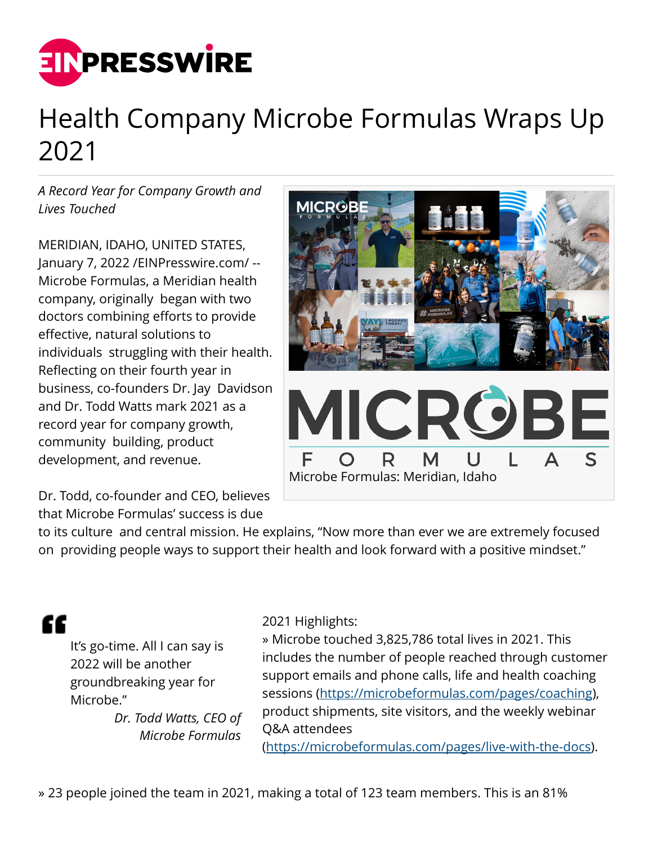

## Health Company Microbe Formulas Wraps Up 2021

*A Record Year for Company Growth and Lives Touched*

MERIDIAN, IDAHO, UNITED STATES, January 7, 2022 [/EINPresswire.com](http://www.einpresswire.com)/ -- Microbe Formulas, a Meridian health company, originally began with two doctors combining efforts to provide effective, natural solutions to individuals struggling with their health. Reflecting on their fourth year in business, co-founders Dr. Jay Davidson and Dr. Todd Watts mark 2021 as a record year for company growth, community building, product development, and revenue.

Dr. Todd, co-founder and CEO, believes that Microbe Formulas' success is due



to its culture and central mission. He explains, "Now more than ever we are extremely focused on providing people ways to support their health and look forward with a positive mindset."

"

It's go-time. All I can say is 2022 will be another groundbreaking year for Microbe."

*Dr. Todd Watts, CEO of Microbe Formulas*

2021 Highlights:

» Microbe touched 3,825,786 total lives in 2021. This includes the number of people reached through customer support emails and phone calls, life and health coaching sessions ([https://microbeformulas.com/pages/coaching\)](https://microbeformulas.com/pages/coaching), product shipments, site visitors, and the weekly webinar Q&A attendees

(<https://microbeformulas.com/pages/live-with-the-docs>).